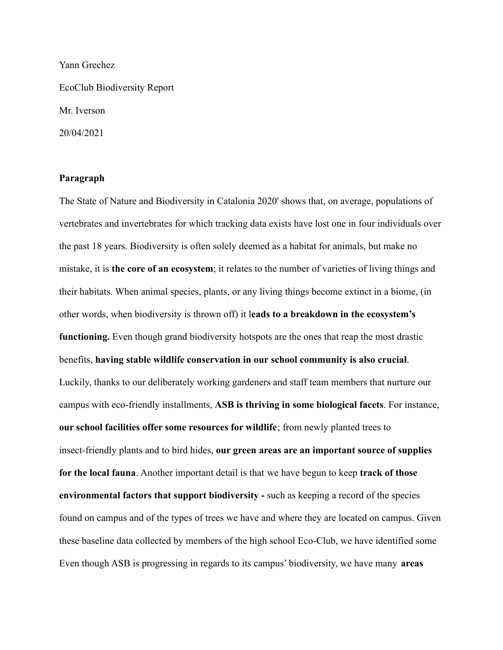Yann Grechez EcoClub Biodiversity Report Mr. Iverson 20/04/2021

## **Paragraph**

The State of Nature and Biodiversity in Catalonia 2020' shows that, on average, populations of vertebrates and invertebrates for which tracking data exists have lost one in four individuals over the past 18 years. Biodiversity is often solely deemed as a habitat for animals, but make no mistake, it is **the core of an ecosystem**; it relates to the number of varieties of living things and their habitats. When animal species, plants, or any living things become extinct in a biome, (in other words, when biodiversity is thrown off) it l**eads to a breakdown in the ecosystem's functioning.** Even though grand biodiversity hotspots are the ones that reap the most drastic benefits, **having stable wildlife conservation in our school community is also crucial**. Luckily, thanks to our deliberately working gardeners and staff team members that nurture our campus with eco-friendly installments, **ASB is thriving in some biological facets**. For instance, **our school facilities offer some resources for wildlife**; from newly planted trees to insect-friendly plants and to bird hides, **our green areas are an important source of supplies for the local fauna**. Another important detail is that we have begun to keep **track of those environmental factors that support biodiversity -** such as keeping a record of the species found on campus and of the types of trees we have and where they are located on campus. Given these baseline data collected by members of the high school Eco-Club, we have identified some Even though ASB is progressing in regards to its campus' biodiversity, we have many **areas**